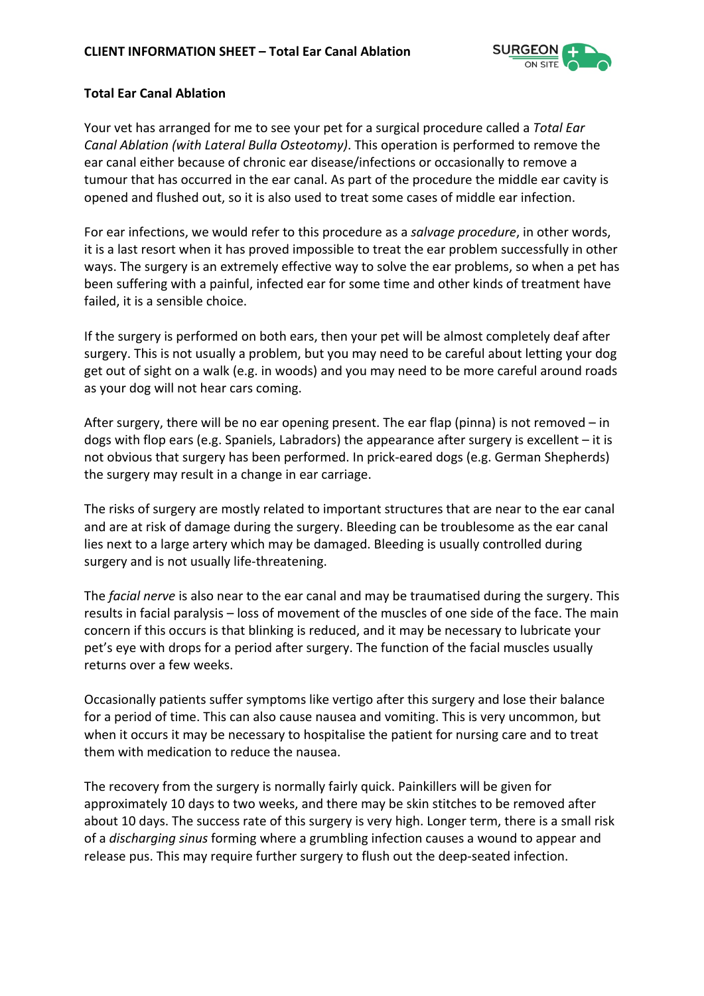

## **Total Ear Canal Ablation**

Your vet has arranged for me to see your pet for a surgical procedure called a *Total Ear Canal Ablation (with Lateral Bulla Osteotomy)*. This operation is performed to remove the ear canal either because of chronic ear disease/infections or occasionally to remove a tumour that has occurred in the ear canal. As part of the procedure the middle ear cavity is opened and flushed out, so it is also used to treat some cases of middle ear infection.

For ear infections, we would refer to this procedure as a *salvage procedure*, in other words, it is a last resort when it has proved impossible to treat the ear problem successfully in other ways. The surgery is an extremely effective way to solve the ear problems, so when a pet has been suffering with a painful, infected ear for some time and other kinds of treatment have failed, it is a sensible choice.

If the surgery is performed on both ears, then your pet will be almost completely deaf after surgery. This is not usually a problem, but you may need to be careful about letting your dog get out of sight on a walk (e.g. in woods) and you may need to be more careful around roads as your dog will not hear cars coming.

After surgery, there will be no ear opening present. The ear flap (pinna) is not removed – in dogs with flop ears (e.g. Spaniels, Labradors) the appearance after surgery is excellent – it is not obvious that surgery has been performed. In prick-eared dogs (e.g. German Shepherds) the surgery may result in a change in ear carriage.

The risks of surgery are mostly related to important structures that are near to the ear canal and are at risk of damage during the surgery. Bleeding can be troublesome as the ear canal lies next to a large artery which may be damaged. Bleeding is usually controlled during surgery and is not usually life-threatening.

The *facial nerve* is also near to the ear canal and may be traumatised during the surgery. This results in facial paralysis – loss of movement of the muscles of one side of the face. The main concern if this occurs is that blinking is reduced, and it may be necessary to lubricate your pet's eye with drops for a period after surgery. The function of the facial muscles usually returns over a few weeks.

Occasionally patients suffer symptoms like vertigo after this surgery and lose their balance for a period of time. This can also cause nausea and vomiting. This is very uncommon, but when it occurs it may be necessary to hospitalise the patient for nursing care and to treat them with medication to reduce the nausea.

The recovery from the surgery is normally fairly quick. Painkillers will be given for approximately 10 days to two weeks, and there may be skin stitches to be removed after about 10 days. The success rate of this surgery is very high. Longer term, there is a small risk of a *discharging sinus* forming where a grumbling infection causes a wound to appear and release pus. This may require further surgery to flush out the deep-seated infection.